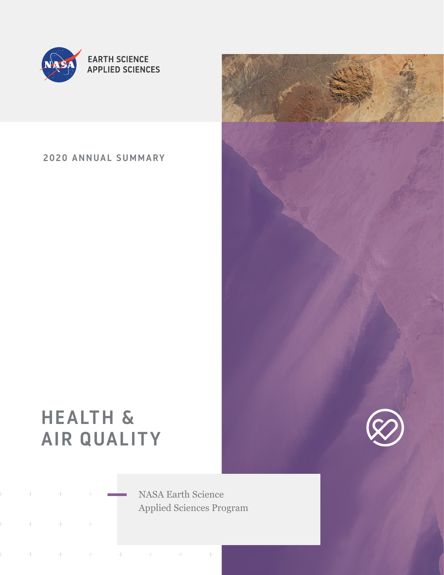

**EARTH SCIENCE APPLIED SCIENCES** 

2020 ANNUAL SUMMARY

# HEALTH & AIR QUALITY

NASA Earth Science Applied Sciences Program

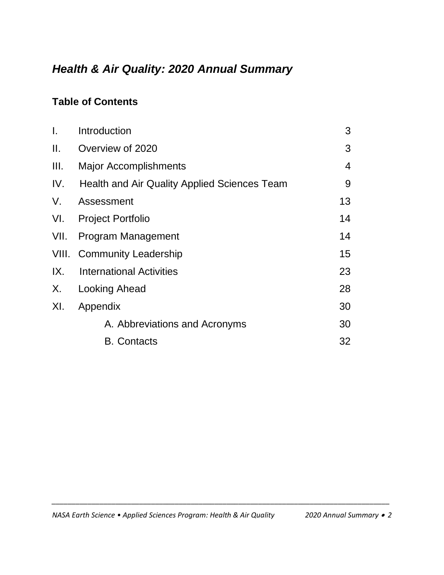## *Health & Air Quality: 2020 Annual Summary*

### **Table of Contents**

| I.    | Introduction                                        | 3  |
|-------|-----------------------------------------------------|----|
| Ш.    | Overview of 2020                                    | 3  |
| III.  | <b>Major Accomplishments</b>                        | 4  |
| IV.   | <b>Health and Air Quality Applied Sciences Team</b> | 9  |
| V.    | Assessment                                          | 13 |
| VI.   | <b>Project Portfolio</b>                            | 14 |
| VII.  | Program Management                                  | 14 |
| VIII. | <b>Community Leadership</b>                         | 15 |
| IX.   | <b>International Activities</b>                     | 23 |
| X.    | <b>Looking Ahead</b>                                | 28 |
| XI.   | Appendix                                            | 30 |
|       | A. Abbreviations and Acronyms                       | 30 |
|       | <b>B.</b> Contacts                                  | 32 |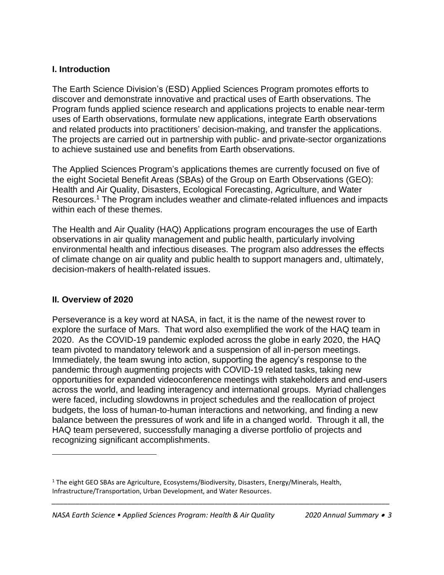#### **I. Introduction**

The Earth Science Division's (ESD) Applied Sciences Program promotes efforts to discover and demonstrate innovative and practical uses of Earth observations. The Program funds applied science research and applications projects to enable near-term uses of Earth observations, formulate new applications, integrate Earth observations and related products into practitioners' decision-making, and transfer the applications. The projects are carried out in partnership with public- and private-sector organizations to achieve sustained use and benefits from Earth observations.

The Applied Sciences Program's applications themes are currently focused on five of the eight Societal Benefit Areas (SBAs) of the Group on Earth Observations (GEO): Health and Air Quality, Disasters, Ecological Forecasting, Agriculture, and Water Resources. <sup>1</sup> The Program includes weather and climate-related influences and impacts within each of these themes.

The Health and Air Quality (HAQ) Applications program encourages the use of Earth observations in air quality management and public health, particularly involving environmental health and infectious diseases. The program also addresses the effects of climate change on air quality and public health to support managers and, ultimately, decision-makers of health-related issues.

#### **II. Overview of 2020**

Perseverance is a key word at NASA, in fact, it is the name of the newest rover to explore the surface of Mars. That word also exemplified the work of the HAQ team in 2020. As the COVID-19 pandemic exploded across the globe in early 2020, the HAQ team pivoted to mandatory telework and a suspension of all in-person meetings. Immediately, the team swung into action, supporting the agency's response to the pandemic through augmenting projects with COVID-19 related tasks, taking new opportunities for expanded videoconference meetings with stakeholders and end-users across the world, and leading interagency and international groups. Myriad challenges were faced, including slowdowns in project schedules and the reallocation of project budgets, the loss of human-to-human interactions and networking, and finding a new balance between the pressures of work and life in a changed world. Through it all, the HAQ team persevered, successfully managing a diverse portfolio of projects and recognizing significant accomplishments.

<sup>&</sup>lt;sup>1</sup> The eight GEO SBAs are Agriculture, Ecosystems/Biodiversity, Disasters, Energy/Minerals, Health, Infrastructure/Transportation, Urban Development, and Water Resources.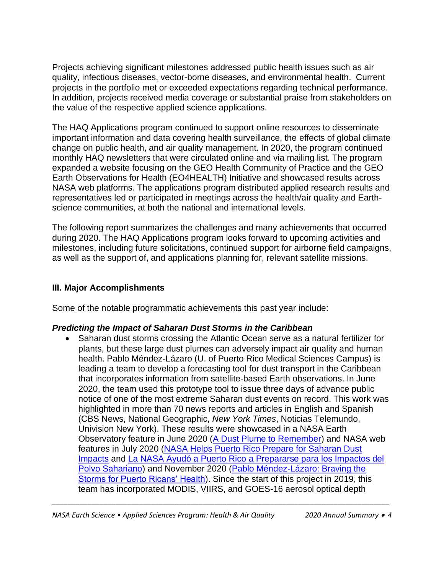Projects achieving significant milestones addressed public health issues such as air quality, infectious diseases, vector-borne diseases, and environmental health. Current projects in the portfolio met or exceeded expectations regarding technical performance. In addition, projects received media coverage or substantial praise from stakeholders on the value of the respective applied science applications.

The HAQ Applications program continued to support online resources to disseminate important information and data covering health surveillance, the effects of global climate change on public health, and air quality management. In 2020, the program continued monthly HAQ newsletters that were circulated online and via mailing list. The program expanded a website focusing on the GEO Health Community of Practice and the GEO Earth Observations for Health (EO4HEALTH) Initiative and showcased results across NASA web platforms. The applications program distributed applied research results and representatives led or participated in meetings across the health/air quality and Earthscience communities, at both the national and international levels.

The following report summarizes the challenges and many achievements that occurred during 2020. The HAQ Applications program looks forward to upcoming activities and milestones, including future solicitations, continued support for airborne field campaigns, as well as the support of, and applications planning for, relevant satellite missions.

#### **III. Major Accomplishments**

Some of the notable programmatic achievements this past year include:

#### *Predicting the Impact of Saharan Dust Storms in the Caribbean*

• Saharan dust storms crossing the Atlantic Ocean serve as a natural fertilizer for plants, but these large dust plumes can adversely impact air quality and human health. Pablo Méndez-Lázaro (U. of Puerto Rico Medical Sciences Campus) is leading a team to develop a forecasting tool for dust transport in the Caribbean that incorporates information from satellite-based Earth observations. In June 2020, the team used this prototype tool to issue three days of advance public notice of one of the most extreme Saharan dust events on record. This work was highlighted in more than 70 news reports and articles in English and Spanish (CBS News, National Geographic, *New York Times*, Noticias Telemundo, Univision New York). These results were showcased in a NASA Earth Observatory feature in June 2020 [\(A Dust Plume to Remember\)](https://earthobservatory.nasa.gov/images/146913/a-dust-plume-to-remember) and NASA web features in July 2020 [\(NASA Helps Puerto Rico Prepare for Saharan Dust](https://www.nasa.gov/feature/nasa-helps-puerto-rico-prepare-for-saharan-dust-impacts)  [Impacts](https://www.nasa.gov/feature/nasa-helps-puerto-rico-prepare-for-saharan-dust-impacts) and [La NASA Ayudó a Puerto Rico a Prepararse para los Impactos del](https://ciencia.nasa.gov/nasa-puerto-rico-polvo-sahariano)  [Polvo Sahariano\)](https://ciencia.nasa.gov/nasa-puerto-rico-polvo-sahariano) and November 2020 [\(Pablo Méndez-Lázaro: Braving the](https://appliedsciences.nasa.gov/our-impact/people/pablo-mendez-lazaro-braving-storms-puerto-ricans-health)  [Storms for Puerto Ricans' Health\)](https://appliedsciences.nasa.gov/our-impact/people/pablo-mendez-lazaro-braving-storms-puerto-ricans-health). Since the start of this project in 2019, this team has incorporated MODIS, VIIRS, and GOES-16 aerosol optical depth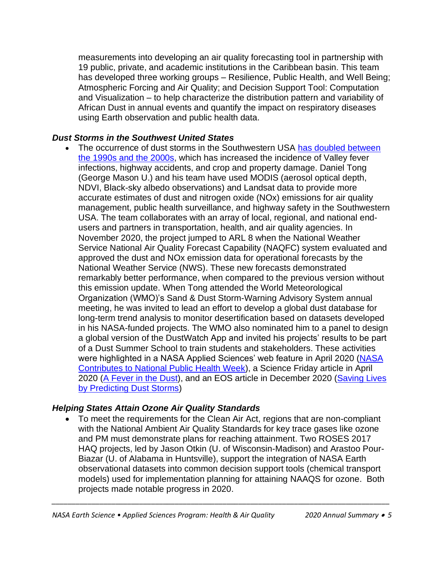measurements into developing an air quality forecasting tool in partnership with 19 public, private, and academic institutions in the Caribbean basin. This team has developed three working groups – Resilience, Public Health, and Well Being; Atmospheric Forcing and Air Quality; and Decision Support Tool: Computation and Visualization – to help characterize the distribution pattern and variability of African Dust in annual events and quantify the impact on respiratory diseases using Earth observation and public health data.

#### *Dust Storms in the Southwest United States*

The occurrence of dust storms in the Southwestern USA has doubled between [the 1990s and the 2000s,](https://agupubs.onlinelibrary.wiley.com/doi/epdf/10.1002/2017GL073524) which has increased the incidence of Valley fever infections, highway accidents, and crop and property damage. Daniel Tong (George Mason U.) and his team have used MODIS (aerosol optical depth, NDVI, Black-sky albedo observations) and Landsat data to provide more accurate estimates of dust and nitrogen oxide (NOx) emissions for air quality management, public health surveillance, and highway safety in the Southwestern USA. The team collaborates with an array of local, regional, and national endusers and partners in transportation, health, and air quality agencies. In November 2020, the project jumped to ARL 8 when the National Weather Service National Air Quality Forecast Capability (NAQFC) system evaluated and approved the dust and NOx emission data for operational forecasts by the National Weather Service (NWS). These new forecasts demonstrated remarkably better performance, when compared to the previous version without this emission update. When Tong attended the World Meteorological Organization (WMO)'s Sand & Dust Storm-Warning Advisory System annual meeting, he was invited to lead an effort to develop a global dust database for long-term trend analysis to monitor desertification based on datasets developed in his NASA-funded projects. The WMO also nominated him to a panel to design a global version of the DustWatch App and invited his projects' results to be part of a Dust Summer School to train students and stakeholders. These activities were highlighted in a NASA Applied Sciences' web feature in April 2020 (NASA [Contributes to National Public Health Week\)](https://appliedsciences.nasa.gov/our-impact/news/nasa-contributes-national-public-health-week), a Science Friday article in April 2020 [\(A Fever in the Dust\)](https://methods.sciencefriday.com/valley-fever), and an EOS article in December 2020 (Saving Lives [by Predicting Dust Storms\)](https://eos.org/articles/saving-lives-by-predicting-dust-storms)

#### *Helping States Attain Ozone Air Quality Standards*

• To meet the requirements for the Clean Air Act, regions that are non-compliant with the National Ambient Air Quality Standards for key trace gases like ozone and PM must demonstrate plans for reaching attainment. Two ROSES 2017 HAQ projects, led by Jason Otkin (U. of Wisconsin-Madison) and Arastoo Pour-Biazar (U. of Alabama in Huntsville), support the integration of NASA Earth observational datasets into common decision support tools (chemical transport models) used for implementation planning for attaining NAAQS for ozone. Both projects made notable progress in 2020.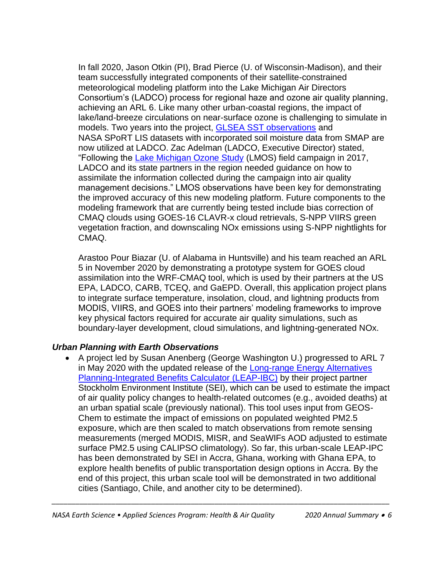In fall 2020, Jason Otkin (PI), Brad Pierce (U. of Wisconsin-Madison), and their team successfully integrated components of their satellite-constrained meteorological modeling platform into the Lake Michigan Air Directors Consortium's (LADCO) process for regional haze and ozone air quality planning, achieving an ARL 6. Like many other urban-coastal regions, the impact of lake/land-breeze circulations on near-surface ozone is challenging to simulate in models. Two years into the project, [GLSEA SST](https://coastwatch.glerl.noaa.gov/glsea/doc/glsea.doc.html) observations and NASA SPoRT LIS datasets with incorporated soil moisture data from SMAP are now utilized at LADCO. Zac Adelman (LADCO, Executive Director) stated, "Following the [Lake Michigan Ozone Study](https://www-air.larc.nasa.gov/missions/lmos/index.html) (LMOS) field campaign in 2017, LADCO and its state partners in the region needed guidance on how to assimilate the information collected during the campaign into air quality management decisions." LMOS observations have been key for demonstrating the improved accuracy of this new modeling platform. Future components to the modeling framework that are currently being tested include bias correction of CMAQ clouds using GOES-16 CLAVR-x cloud retrievals, S-NPP VIIRS green vegetation fraction, and downscaling NOx emissions using S-NPP nightlights for CMAQ.

Arastoo Pour Biazar (U. of Alabama in Huntsville) and his team reached an ARL 5 in November 2020 by demonstrating a prototype system for GOES cloud assimilation into the WRF-CMAQ tool, which is used by their partners at the US EPA, LADCO, CARB, TCEQ, and GaEPD. Overall, this application project plans to integrate surface temperature, insolation, cloud, and lightning products from MODIS, VIIRS, and GOES into their partners' modeling frameworks to improve key physical factors required for accurate air quality simulations, such as boundary-layer development, cloud simulations, and lightning-generated NOx.

#### *Urban Planning with Earth Observations*

• A project led by Susan Anenberg (George Washington U.) progressed to ARL 7 in May 2020 with the updated release of the [Long-range Energy Alternatives](https://pubmed.ncbi.nlm.nih.gov/33027737/)  [Planning-Integrated Benefits Calculator](https://pubmed.ncbi.nlm.nih.gov/33027737/) (LEAP-IBC) by their project partner Stockholm Environment Institute (SEI), which can be used to estimate the impact of air quality policy changes to health-related outcomes (e.g., avoided deaths) at an urban spatial scale (previously national). This tool uses input from GEOS-Chem to estimate the impact of emissions on populated weighted PM2.5 exposure, which are then scaled to match observations from remote sensing measurements (merged MODIS, MISR, and SeaWIFs AOD adjusted to estimate surface PM2.5 using CALIPSO climatology). So far, this urban-scale LEAP-IPC has been demonstrated by SEI in Accra, Ghana, working with Ghana EPA, to explore health benefits of public transportation design options in Accra. By the end of this project, this urban scale tool will be demonstrated in two additional cities (Santiago, Chile, and another city to be determined).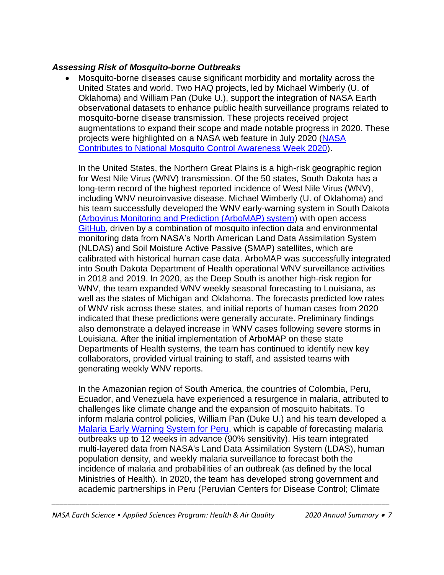#### *Assessing Risk of Mosquito-borne Outbreaks*

• Mosquito-borne diseases cause significant morbidity and mortality across the United States and world. Two HAQ projects, led by Michael Wimberly (U. of Oklahoma) and William Pan (Duke U.), support the integration of NASA Earth observational datasets to enhance public health surveillance programs related to mosquito-borne disease transmission. These projects received project augmentations to expand their scope and made notable progress in 2020. These projects were highlighted on a NASA web feature in July 2020 [\(NASA](https://appliedsciences.nasa.gov/our-impact/news/nasa-contributes-national-mosquito-control-awareness-week-2020)  [Contributes to National Mosquito Control Awareness Week 2020\)](https://appliedsciences.nasa.gov/our-impact/news/nasa-contributes-national-mosquito-control-awareness-week-2020).

In the United States, the Northern Great Plains is a high-risk geographic region for West Nile Virus (WNV) transmission. Of the 50 states, South Dakota has a long-term record of the highest reported incidence of West Nile Virus (WNV), including WNV neuroinvasive disease. Michael Wimberly (U. of Oklahoma) and his team successfully developed the WNV early-warning system in South Dakota [\(Arbovirus Monitoring and Prediction \(ArboMAP\) system\)](http://ecograph.net/arbomap/) with open access [GitHub,](https://github.com/EcoGRAPH/ArboMAP) driven by a combination of mosquito infection data and environmental monitoring data from NASA's North American Land Data Assimilation System (NLDAS) and Soil Moisture Active Passive (SMAP) satellites, which are calibrated with historical human case data. ArboMAP was successfully integrated into South Dakota Department of Health operational WNV surveillance activities in 2018 and 2019. In 2020, as the Deep South is another high-risk region for WNV, the team expanded WNV weekly seasonal forecasting to Louisiana, as well as the states of Michigan and Oklahoma. The forecasts predicted low rates of WNV risk across these states, and initial reports of human cases from 2020 indicated that these predictions were generally accurate. Preliminary findings also demonstrate a delayed increase in WNV cases following severe storms in Louisiana. After the initial implementation of ArboMAP on these state Departments of Health systems, the team has continued to identify new key collaborators, provided virtual training to staff, and assisted teams with generating weekly WNV reports.

In the Amazonian region of South America, the countries of Colombia, Peru, Ecuador, and Venezuela have experienced a resurgence in malaria, attributed to challenges like climate change and the expansion of mosquito habitats. To inform malaria control policies, William Pan (Duke U.) and his team developed a [Malaria Early Warning System for Peru,](https://www.nasa.gov/feature/goddard/2017/using-nasa-satellite-data-to-predict-malaria-outbreaks/) which is capable of forecasting malaria outbreaks up to 12 weeks in advance (90% sensitivity). His team integrated multi-layered data from NASA's Land Data Assimilation System (LDAS), human population density, and weekly malaria surveillance to forecast both the incidence of malaria and probabilities of an outbreak (as defined by the local Ministries of Health). In 2020, the team has developed strong government and academic partnerships in Peru (Peruvian Centers for Disease Control; Climate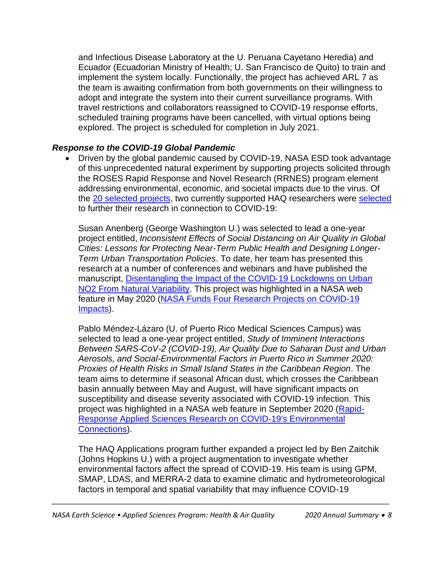and Infectious Disease Laboratory at the U. Peruana Cayetano Heredia) and Ecuador (Ecuadorian Ministry of Health; U. San Francisco de Quito) to train and implement the system locally. Functionally, the project has achieved ARL 7 as the team is awaiting confirmation from both governments on their willingness to adopt and integrate the system into their current surveillance programs. With travel restrictions and collaborators reassigned to COVID-19 response efforts, scheduled training programs have been cancelled, with virtual options being explored. The project is scheduled for completion in July 2021.

#### *Response to the COVID-19 Global Pandemic*

• Driven by the global pandemic caused by COVID-19, NASA ESD took advantage of this unprecedented natural experiment by supporting projects solicited through the ROSES Rapid Response and Novel Research (RRNES) program element addressing environmental, economic, and societal impacts due to the virus. Of the 20 [selected projects,](https://www.nasa.gov/feature/esd/2020/new-projects-explore-connections-between-environment-and-covid-19) two currently supported HAQ researchers were [selected](https://nspires.nasaprs.com/external/viewrepositorydocument/cmdocumentid=789530/solicitationId=%7B3F3DFBFB-8FEE-F317-63FD-CB84ECA833EC%7D/viewSolicitationDocument=1/RRNES20%20abstracts%20updated%2011.10.20.pdf) to further their research in connection to COVID-19:

Susan Anenberg (George Washington U.) was selected to lead a one-year project entitled, *Inconsistent Effects of Social Distancing on Air Quality in Global Cities: Lessons for Protecting Near-Term Public Health and Designing Longer-Term Urban Transportation Policies*. To date, her team has presented this research at a number of conferences and webinars and have published the manuscript, [Disentangling the Impact of the COVID](https://doi.org/10.1029/2020GL089269)‐19 Lockdowns on Urban [NO2 From Natural Variability.](https://doi.org/10.1029/2020GL089269) This project was highlighted in a NASA web feature in May 2020 [\(NASA Funds Four Research Projects on COVID-19](https://www.nasa.gov/feature/goddard/2020/nasa-funds-four-research-projects-on-covid-19-impacts)  [Impacts\)](https://www.nasa.gov/feature/goddard/2020/nasa-funds-four-research-projects-on-covid-19-impacts).

Pablo Méndez-Lázaro (U. of Puerto Rico Medical Sciences Campus) was selected to lead a one-year project entitled, *Study of Imminent Interactions Between SARS-CoV-2 (COVID-19), Air Quality Due to Saharan Dust and Urban Aerosols, and Social-Environmental Factors in Puerto Rico in Summer 2020: Proxies of Health Risks in Small Island States in the Caribbean Region*. The team aims to determine if seasonal African dust, which crosses the Caribbean basin annually between May and August, will have significant impacts on susceptibility and disease severity associated with COVID-19 infection. This project was highlighted in a NASA web feature in September 2020 [\(Rapid-](https://appliedsciences.nasa.gov/our-impact/story/rapid-response-applied-sciences-research-covid-19s-environmental-connections)[Response Applied Sciences Research on COVID-19's Environmental](https://appliedsciences.nasa.gov/our-impact/story/rapid-response-applied-sciences-research-covid-19s-environmental-connections)  [Connections\)](https://appliedsciences.nasa.gov/our-impact/story/rapid-response-applied-sciences-research-covid-19s-environmental-connections).

The HAQ Applications program further expanded a project led by Ben Zaitchik (Johns Hopkins U.) with a project augmentation to investigate whether environmental factors affect the spread of COVID-19. His team is using GPM, SMAP, LDAS, and MERRA-2 data to examine climatic and hydrometeorological factors in temporal and spatial variability that may influence COVID-19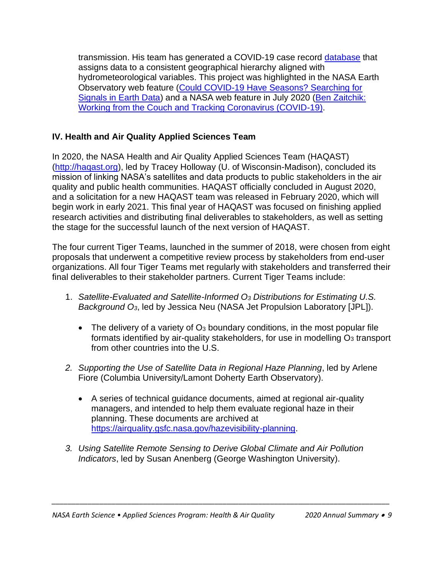transmission. His team has generated a COVID-19 case record [database](https://github.com/CSSEGISandData/COVID-19_Unified-Dataset) that assigns data to a consistent geographical hierarchy aligned with hydrometeorological variables. This project was highlighted in the NASA Earth Observatory web feature [\(Could COVID-19 Have Seasons? Searching for](https://earthobservatory.nasa.gov/features/covid-seasonality)  [Signals in Earth Data\)](https://earthobservatory.nasa.gov/features/covid-seasonality) and a NASA web feature in July 2020 [\(Ben Zaitchik:](https://appliedsciences.nasa.gov/our-impact/people/ben-zaitchik-working-couch-and-tracking-coronavirus-covid-19)  [Working from the Couch and Tracking Coronavirus \(COVID-19\).](https://appliedsciences.nasa.gov/our-impact/people/ben-zaitchik-working-couch-and-tracking-coronavirus-covid-19)

#### **IV. Health and Air Quality Applied Sciences Team**

In 2020, the NASA Health and Air Quality Applied Sciences Team (HAQAST) [\(http://haqast.org\)](http://haqast.org/), led by Tracey Holloway (U. of Wisconsin-Madison), concluded its mission of linking NASA's satellites and data products to public stakeholders in the air quality and public health communities. HAQAST officially concluded in August 2020, and a solicitation for a new HAQAST team was released in February 2020, which will begin work in early 2021. This final year of HAQAST was focused on finishing applied research activities and distributing final deliverables to stakeholders, as well as setting the stage for the successful launch of the next version of HAQAST.

The four current Tiger Teams, launched in the summer of 2018, were chosen from eight proposals that underwent a competitive review process by stakeholders from end-user organizations. All four Tiger Teams met regularly with stakeholders and transferred their final deliverables to their stakeholder partners. Current Tiger Teams include:

- 1. *Satellite-Evaluated and Satellite-Informed O<sup>3</sup> Distributions for Estimating U.S. Background O3*, led by Jessica Neu (NASA Jet Propulsion Laboratory [JPL]).
	- The delivery of a variety of  $O_3$  boundary conditions, in the most popular file formats identified by air-quality stakeholders, for use in modelling  $O<sub>3</sub>$  transport from other countries into the U.S.
- *2. Supporting the Use of Satellite Data in Regional Haze Planning*, led by Arlene Fiore (Columbia University/Lamont Doherty Earth Observatory).
	- A series of technical guidance documents, aimed at regional air-quality managers, and intended to help them evaluate regional haze in their planning. These documents are archived at [https://airquality.gsfc.nasa.gov/hazevisibility-planning.](https://airquality.gsfc.nasa.gov/hazevisibility-planning)
- *3. Using Satellite Remote Sensing to Derive Global Climate and Air Pollution Indicators*, led by Susan Anenberg (George Washington University).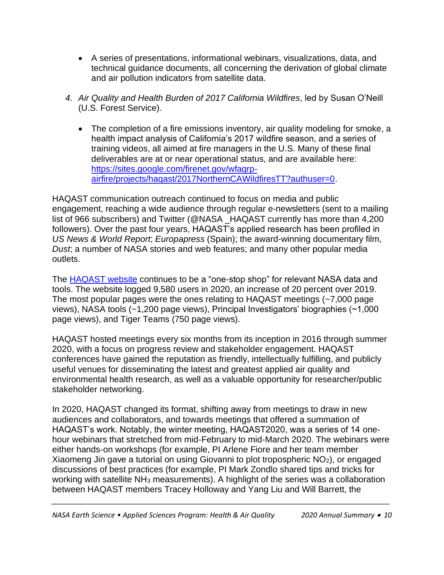- A series of presentations, informational webinars, visualizations, data, and technical guidance documents, all concerning the derivation of global climate and air pollution indicators from satellite data.
- *4. Air Quality and Health Burden of 2017 California Wildfires*, led by Susan O'Neill (U.S. Forest Service).
	- The completion of a fire emissions inventory, air quality modeling for smoke, a health impact analysis of California's 2017 wildfire season, and a series of training videos, all aimed at fire managers in the U.S. Many of these final deliverables are at or near operational status, and are available here: [https://sites.google.com/firenet.gov/wfaqrp](https://sites.google.com/firenet.gov/wfaqrp-airfire/projects/haqast/2017NorthernCAWildfiresTT?authuser=0)[airfire/projects/haqast/2017NorthernCAWildfiresTT?authuser=0.](https://sites.google.com/firenet.gov/wfaqrp-airfire/projects/haqast/2017NorthernCAWildfiresTT?authuser=0)

HAQAST communication outreach continued to focus on media and public engagement, reaching a wide audience through regular e-newsletters (sent to a mailing list of 966 subscribers) and Twitter (@NASA \_HAQAST currently has more than 4,200 followers). Over the past four years, HAQAST's applied research has been profiled in *US News & World Report*; *Europapress* (Spain); the award-winning documentary film, *Dust*; a number of NASA stories and web features; and many other popular media outlets.

The **HAQAST** website continues to be a "one-stop shop" for relevant NASA data and tools. The website logged 9,580 users in 2020, an increase of 20 percent over 2019. The most popular pages were the ones relating to HAQAST meetings (~7,000 page views), NASA tools (~1,200 page views), Principal Investigators' biographies (~1,000 page views), and Tiger Teams (750 page views).

HAQAST hosted meetings every six months from its inception in 2016 through summer 2020, with a focus on progress review and stakeholder engagement. HAQAST conferences have gained the reputation as friendly, intellectually fulfilling, and publicly useful venues for disseminating the latest and greatest applied air quality and environmental health research, as well as a valuable opportunity for researcher/public stakeholder networking.

In 2020, HAQAST changed its format, shifting away from meetings to draw in new audiences and collaborators, and towards meetings that offered a summation of HAQAST's work. Notably, the winter meeting, HAQAST2020, was a series of 14 onehour webinars that stretched from mid-February to mid-March 2020. The webinars were either hands-on workshops (for example, PI Arlene Fiore and her team member Xiaomeng Jin gave a tutorial on using Giovanni to plot tropospheric NO2), or engaged discussions of best practices (for example, PI Mark Zondlo shared tips and tricks for working with satellite NH<sub>3</sub> measurements). A highlight of the series was a collaboration between HAQAST members Tracey Holloway and Yang Liu and Will Barrett, the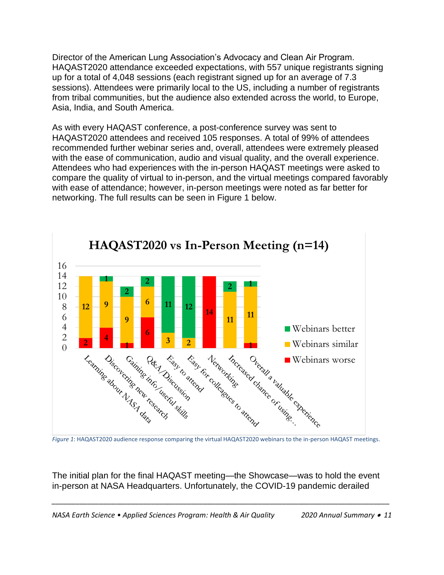Director of the American Lung Association's Advocacy and Clean Air Program. HAQAST2020 attendance exceeded expectations, with 557 unique registrants signing up for a total of 4,048 sessions (each registrant signed up for an average of 7.3 sessions). Attendees were primarily local to the US, including a number of registrants from tribal communities, but the audience also extended across the world, to Europe, Asia, India, and South America.

As with every HAQAST conference, a post-conference survey was sent to HAQAST2020 attendees and received 105 responses. A total of 99% of attendees recommended further webinar series and, overall, attendees were extremely pleased with the ease of communication, audio and visual quality, and the overall experience. Attendees who had experiences with the in-person HAQAST meetings were asked to compare the quality of virtual to in-person, and the virtual meetings compared favorably with ease of attendance; however, in-person meetings were noted as far better for networking. The full results can be seen in Figure 1 below.



The initial plan for the final HAQAST meeting—the Showcase—was to hold the event in-person at NASA Headquarters. Unfortunately, the COVID-19 pandemic derailed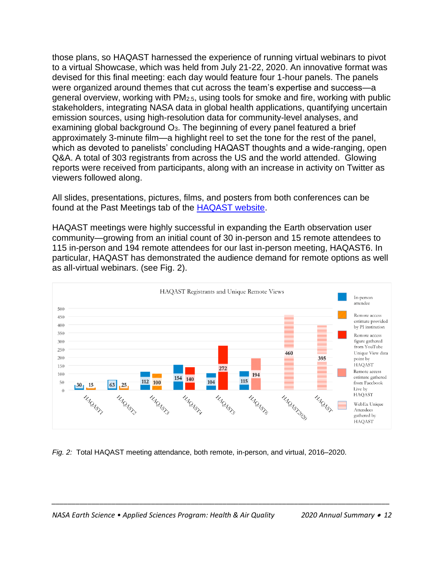those plans, so HAQAST harnessed the experience of running virtual webinars to pivot to a virtual Showcase, which was held from July 21-22, 2020. An innovative format was devised for this final meeting: each day would feature four 1-hour panels. The panels were organized around themes that cut across the team's expertise and success—a general overview, working with PM2.5, using tools for smoke and fire, working with public stakeholders, integrating NASA data in global health applications, quantifying uncertain emission sources, using high-resolution data for community-level analyses, and examining global background  $O<sub>3</sub>$ . The beginning of every panel featured a brief approximately 3-minute film—a highlight reel to set the tone for the rest of the panel, which as devoted to panelists' concluding HAQAST thoughts and a wide-ranging, open Q&A. A total of 303 registrants from across the US and the world attended. Glowing reports were received from participants, along with an increase in activity on Twitter as viewers followed along.

All slides, presentations, pictures, films, and posters from both conferences can be found at the Past Meetings tab of the [HAQAST website.](https://haqast.org/get-involved/meetings/)

HAQAST meetings were highly successful in expanding the Earth observation user community—growing from an initial count of 30 in-person and 15 remote attendees to 115 in-person and 194 remote attendees for our last in-person meeting, HAQAST6. In particular, HAQAST has demonstrated the audience demand for remote options as well as all-virtual webinars. (see Fig. 2).



*Fig. 2:* Total HAQAST meeting attendance, both remote, in-person, and virtual, 2016–2020.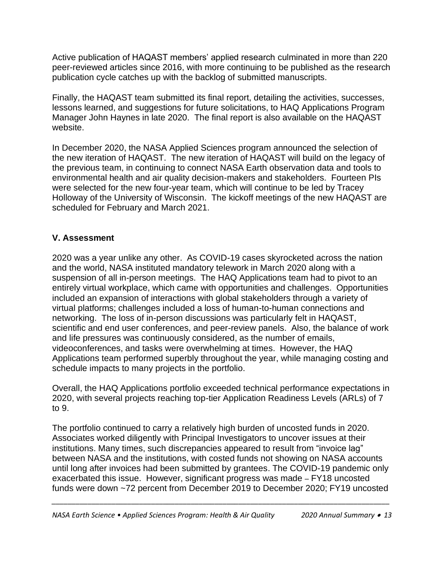Active publication of HAQAST members' applied research culminated in more than 220 peer-reviewed articles since 2016, with more continuing to be published as the research publication cycle catches up with the backlog of submitted manuscripts.

Finally, the HAQAST team submitted its final report, detailing the activities, successes, lessons learned, and suggestions for future solicitations, to HAQ Applications Program Manager John Haynes in late 2020. The final report is also available on the HAQAST website.

In December 2020, the NASA Applied Sciences program announced the selection of the new iteration of HAQAST. The new iteration of HAQAST will build on the legacy of the previous team, in continuing to connect NASA Earth observation data and tools to environmental health and air quality decision-makers and stakeholders. Fourteen PIs were selected for the new four-year team, which will continue to be led by Tracey Holloway of the University of Wisconsin. The kickoff meetings of the new HAQAST are scheduled for February and March 2021.

#### **V. Assessment**

2020 was a year unlike any other. As COVID-19 cases skyrocketed across the nation and the world, NASA instituted mandatory telework in March 2020 along with a suspension of all in-person meetings. The HAQ Applications team had to pivot to an entirely virtual workplace, which came with opportunities and challenges. Opportunities included an expansion of interactions with global stakeholders through a variety of virtual platforms; challenges included a loss of human-to-human connections and networking. The loss of in-person discussions was particularly felt in HAQAST, scientific and end user conferences, and peer-review panels. Also, the balance of work and life pressures was continuously considered, as the number of emails, videoconferences, and tasks were overwhelming at times. However, the HAQ Applications team performed superbly throughout the year, while managing costing and schedule impacts to many projects in the portfolio.

Overall, the HAQ Applications portfolio exceeded technical performance expectations in 2020, with several projects reaching top-tier Application Readiness Levels (ARLs) of 7 to 9.

The portfolio continued to carry a relatively high burden of uncosted funds in 2020. Associates worked diligently with Principal Investigators to uncover issues at their institutions. Many times, such discrepancies appeared to result from "invoice lag" between NASA and the institutions, with costed funds not showing on NASA accounts until long after invoices had been submitted by grantees. The COVID-19 pandemic only exacerbated this issue. However, significant progress was made – FY18 uncosted funds were down ~72 percent from December 2019 to December 2020; FY19 uncosted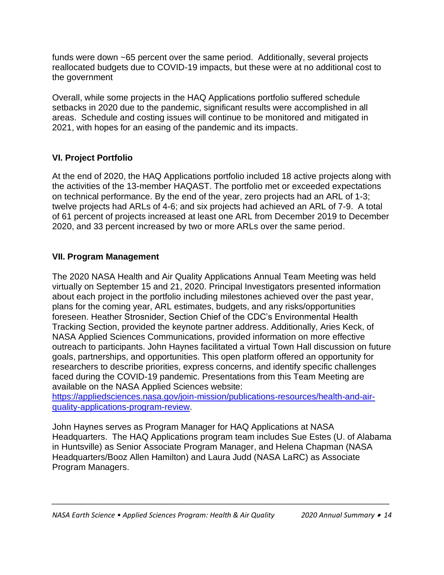funds were down ~65 percent over the same period. Additionally, several projects reallocated budgets due to COVID-19 impacts, but these were at no additional cost to the government

Overall, while some projects in the HAQ Applications portfolio suffered schedule setbacks in 2020 due to the pandemic, significant results were accomplished in all areas. Schedule and costing issues will continue to be monitored and mitigated in 2021, with hopes for an easing of the pandemic and its impacts.

#### **VI. Project Portfolio**

At the end of 2020, the HAQ Applications portfolio included 18 active projects along with the activities of the 13-member HAQAST. The portfolio met or exceeded expectations on technical performance. By the end of the year, zero projects had an ARL of 1-3; twelve projects had ARLs of 4-6; and six projects had achieved an ARL of 7-9. A total of 61 percent of projects increased at least one ARL from December 2019 to December 2020, and 33 percent increased by two or more ARLs over the same period.

#### **VII. Program Management**

The 2020 NASA Health and Air Quality Applications Annual Team Meeting was held virtually on September 15 and 21, 2020. Principal Investigators presented information about each project in the portfolio including milestones achieved over the past year, plans for the coming year, ARL estimates, budgets, and any risks/opportunities foreseen. Heather Strosnider, Section Chief of the CDC's Environmental Health Tracking Section, provided the keynote partner address. Additionally, Aries Keck, of NASA Applied Sciences Communications, provided information on more effective outreach to participants. John Haynes facilitated a virtual Town Hall discussion on future goals, partnerships, and opportunities. This open platform offered an opportunity for researchers to describe priorities, express concerns, and identify specific challenges faced during the COVID-19 pandemic. Presentations from this Team Meeting are available on the NASA Applied Sciences website:

[https://appliedsciences.nasa.gov/join-mission/publications-resources/health-and-air](https://appliedsciences.nasa.gov/join-mission/publications-resources/health-and-air-quality-applications-program-review)[quality-applications-program-review.](https://appliedsciences.nasa.gov/join-mission/publications-resources/health-and-air-quality-applications-program-review)

John Haynes serves as Program Manager for HAQ Applications at NASA Headquarters. The HAQ Applications program team includes Sue Estes (U. of Alabama in Huntsville) as Senior Associate Program Manager, and Helena Chapman (NASA Headquarters/Booz Allen Hamilton) and Laura Judd (NASA LaRC) as Associate Program Managers.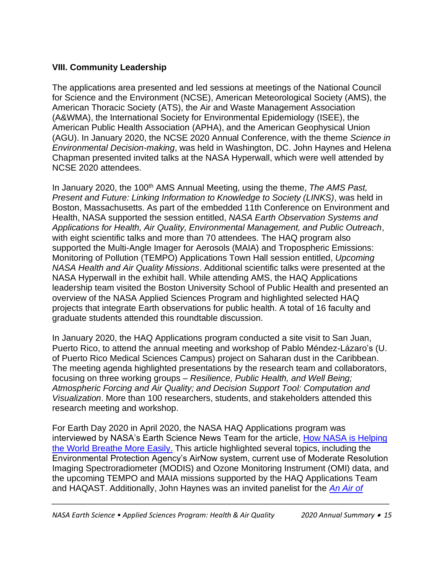#### **VIII. Community Leadership**

The applications area presented and led sessions at meetings of the National Council for Science and the Environment (NCSE), American Meteorological Society (AMS), the American Thoracic Society (ATS), the Air and Waste Management Association (A&WMA), the International Society for Environmental Epidemiology (ISEE), the American Public Health Association (APHA), and the American Geophysical Union (AGU). In January 2020, the NCSE 2020 Annual Conference, with the theme *Science in Environmental Decision-making*, was held in Washington, DC. John Haynes and Helena Chapman presented invited talks at the NASA Hyperwall, which were well attended by NCSE 2020 attendees.

In January 2020, the 100<sup>th</sup> AMS Annual Meeting, using the theme, *The AMS Past*, *Present and Future: Linking Information to Knowledge to Society (LINKS)*, was held in Boston, Massachusetts. As part of the embedded 11th Conference on Environment and Health, NASA supported the session entitled, *NASA Earth Observation Systems and Applications for Health, Air Quality, Environmental Management, and Public Outreach*, with eight scientific talks and more than 70 attendees*.* The HAQ program also supported the Multi-Angle Imager for Aerosols (MAIA) and Tropospheric Emissions: Monitoring of Pollution (TEMPO) Applications Town Hall session entitled, *Upcoming NASA Health and Air Quality Missions*. Additional scientific talks were presented at the NASA Hyperwall in the exhibit hall. While attending AMS, the HAQ Applications leadership team visited the Boston University School of Public Health and presented an overview of the NASA Applied Sciences Program and highlighted selected HAQ projects that integrate Earth observations for public health. A total of 16 faculty and graduate students attended this roundtable discussion.

In January 2020, the HAQ Applications program conducted a site visit to San Juan, Puerto Rico, to attend the annual meeting and workshop of Pablo Méndez-Lázaro's (U. of Puerto Rico Medical Sciences Campus) project on Saharan dust in the Caribbean. The meeting agenda highlighted presentations by the research team and collaborators, focusing on three working groups – *Resilience, Public Health, and Well Being; Atmospheric Forcing and Air Quality; and Decision Support Tool: Computation and Visualization*. More than 100 researchers, students, and stakeholders attended this research meeting and workshop.

For Earth Day 2020 in April 2020, the NASA HAQ Applications program was interviewed by NASA's Earth Science News Team for the article, [How NASA is Helping](https://www.nasa.gov/feature/goddard/2020/how-nasa-is-helping-the-world-breathe-more-easily)  [the World Breathe More Easily.](https://www.nasa.gov/feature/goddard/2020/how-nasa-is-helping-the-world-breathe-more-easily) This article highlighted several topics, including the Environmental Protection Agency's AirNow system, current use of Moderate Resolution Imaging Spectroradiometer (MODIS) and Ozone Monitoring Instrument (OMI) data, and the upcoming TEMPO and MAIA missions supported by the HAQ Applications Team and HAQAST. Additionally, John Haynes was an invited panelist for the *[An Air of](https://www.youtube.com/watch?v=L_VLgbN0J54)*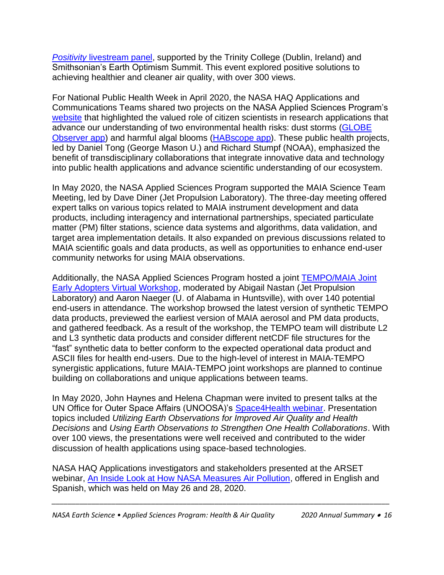*Positivity* [livestream panel,](https://www.youtube.com/watch?v=L_VLgbN0J54) supported by the Trinity College (Dublin, Ireland) and Smithsonian's Earth Optimism Summit. This event explored positive solutions to achieving healthier and cleaner air quality, with over 300 views.

For National Public Health Week in April 2020, the NASA HAQ Applications and Communications Teams shared two projects on the NASA Applied Sciences Program's [website](https://appliedsciences.nasa.gov/our-impact/news/nasa-contributes-national-public-health-week) that highlighted the valued role of citizen scientists in research applications that advance our understanding of two environmental health risks: dust storms [\(GLOBE](https://observer.globe.gov/en/home)  [Observer app\)](https://observer.globe.gov/en/home) and harmful algal blooms [\(HABscope app\)](https://habscope.gcoos.org/). These public health projects, led by Daniel Tong (George Mason U.) and Richard Stumpf (NOAA), emphasized the benefit of transdisciplinary collaborations that integrate innovative data and technology into public health applications and advance scientific understanding of our ecosystem.

In May 2020, the NASA Applied Sciences Program supported the MAIA Science Team Meeting, led by Dave Diner (Jet Propulsion Laboratory). The three-day meeting offered expert talks on various topics related to MAIA instrument development and data products, including interagency and international partnerships, speciated particulate matter (PM) filter stations, science data systems and algorithms, data validation, and target area implementation details. It also expanded on previous discussions related to MAIA scientific goals and data products, as well as opportunities to enhance end-user community networks for using MAIA observations.

Additionally, the NASA Applied Sciences Program hosted a joint [TEMPO/MAIA Joint](https://weather.msfc.nasa.gov/tempo/MAIA_TEMPO_EA_workshop.html)  [Early Adopters Virtual Workshop,](https://weather.msfc.nasa.gov/tempo/MAIA_TEMPO_EA_workshop.html) moderated by Abigail Nastan (Jet Propulsion Laboratory) and Aaron Naeger (U. of Alabama in Huntsville), with over 140 potential end-users in attendance. The workshop browsed the latest version of synthetic TEMPO data products, previewed the earliest version of MAIA aerosol and PM data products, and gathered feedback. As a result of the workshop, the TEMPO team will distribute L2 and L3 synthetic data products and consider different netCDF file structures for the "fast" synthetic data to better conform to the expected operational data product and ASCII files for health end-users. Due to the high-level of interest in MAIA-TEMPO synergistic applications, future MAIA-TEMPO joint workshops are planned to continue building on collaborations and unique applications between teams.

In May 2020, John Haynes and Helena Chapman were invited to present talks at the UN Office for Outer Space Affairs (UNOOSA)'s [Space4Health webinar.](https://www.unoosa.org/oosa/en/ourwork/space4health/2020/summary.html) Presentation topics included *Utilizing Earth Observations for Improved Air Quality and Health Decisions* and *Using Earth Observations to Strengthen One Health Collaborations*. With over 100 views, the presentations were well received and contributed to the wider discussion of health applications using space-based technologies.

NASA HAQ Applications investigators and stakeholders presented at the ARSET webinar, [An Inside Look at How NASA Measures Air Pollution,](https://appliedsciences.nasa.gov/join-mission/training/english/arset-inside-look-how-nasa-measures-air-pollution) offered in English and Spanish, which was held on May 26 and 28, 2020.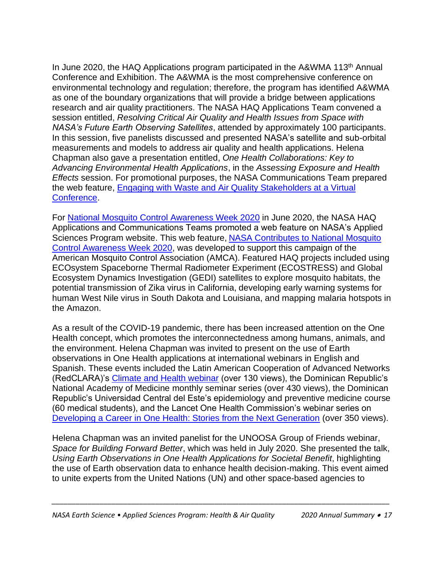In June 2020, the HAQ Applications program participated in the A&WMA 113<sup>th</sup> Annual Conference and Exhibition. The A&WMA is the most comprehensive conference on environmental technology and regulation; therefore, the program has identified A&WMA as one of the boundary organizations that will provide a bridge between applications research and air quality practitioners. The NASA HAQ Applications Team convened a session entitled, *Resolving Critical Air Quality and Health Issues from Space with NASA's Future Earth Observing Satellites*, attended by approximately 100 participants. In this session, five panelists discussed and presented NASA's satellite and sub-orbital measurements and models to address air quality and health applications. Helena Chapman also gave a presentation entitled, *One Health Collaborations: Key to Advancing Environmental Health Applications*, in the *Assessing Exposure and Health Effects* session. For promotional purposes, the NASA Communications Team prepared the web feature, [Engaging with Waste and Air Quality Stakeholders at a Virtual](https://appliedsciences.nasa.gov/our-impact/news/engaging-waste-and-air-quality-stakeholders-virtual-conference)  [Conference.](https://appliedsciences.nasa.gov/our-impact/news/engaging-waste-and-air-quality-stakeholders-virtual-conference)

For [National Mosquito Control Awareness Week 2020](https://www.mosquito.org/page/mosquitoweek) in June 2020, the NASA HAQ Applications and Communications Teams promoted a web feature on NASA's Applied Sciences Program website. This web feature, [NASA Contributes to National Mosquito](https://appliedsciences.nasa.gov/our-impact/news/nasa-contributes-national-mosquito-control-awareness-week-2020)  [Control Awareness Week 2020,](https://appliedsciences.nasa.gov/our-impact/news/nasa-contributes-national-mosquito-control-awareness-week-2020) was developed to support this campaign of the American Mosquito Control Association (AMCA). Featured HAQ projects included using ECOsystem Spaceborne Thermal Radiometer Experiment (ECOSTRESS) and Global Ecosystem Dynamics Investigation (GEDI) satellites to explore mosquito habitats, the potential transmission of Zika virus in California, developing early warning systems for human West Nile virus in South Dakota and Louisiana, and mapping malaria hotspots in the Amazon.

As a result of the COVID-19 pandemic, there has been increased attention on the One Health concept, which promotes the interconnectedness among humans, animals, and the environment. Helena Chapman was invited to present on the use of Earth observations in One Health applications at international webinars in English and Spanish. These events included the Latin American Cooperation of Advanced Networks (RedCLARA)'s [Climate and Health webinar](https://eventos.redclara.net/event/1046/) (over 130 views), the Dominican Republic's National Academy of Medicine monthly seminar series (over 430 views), the Dominican Republic's Universidad Central del Este's epidemiology and preventive medicine course (60 medical students), and the Lancet One Health Commission's webinar series on [Developing a Career in One Health: Stories from the Next Generation](https://www.med.uio.no/helsam/english/research/centres/global-health/news-and-events/events/webinar-series-one-health-reconnecting-for-our-future/developing-a-career-in-one-health-stories-from-the.html) (over 350 views).

Helena Chapman was an invited panelist for the UNOOSA Group of Friends webinar, *Space for Building Forward Better*, which was held in July 2020. She presented the talk, *Using Earth Observations in One Health Applications for Societal Benefit*, highlighting the use of Earth observation data to enhance health decision-making. This event aimed to unite experts from the United Nations (UN) and other space-based agencies to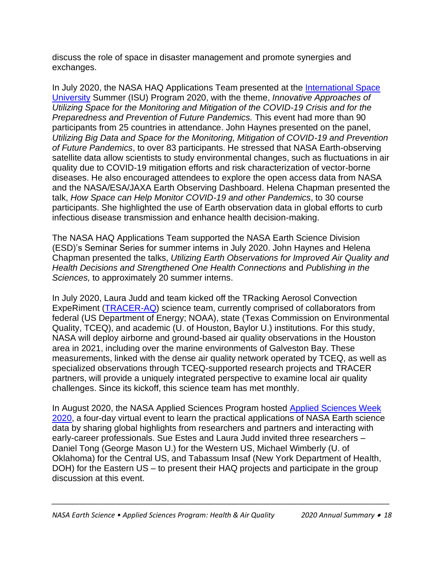discuss the role of space in disaster management and promote synergies and exchanges.

In July 2020, the NASA HAQ Applications Team presented at the International Space [University](https://www.isunet.edu/) Summer (ISU) Program 2020, with the theme, *Innovative Approaches of Utilizing Space for the Monitoring and Mitigation of the COVID-19 Crisis and for the Preparedness and Prevention of Future Pandemics.* This event had more than 90 participants from 25 countries in attendance. John Haynes presented on the panel, *Utilizing Big Data and Space for the Monitoring, Mitigation of COVID-19 and Prevention of Future Pandemics*, to over 83 participants. He stressed that NASA Earth-observing satellite data allow scientists to study environmental changes, such as fluctuations in air quality due to COVID-19 mitigation efforts and risk characterization of vector-borne diseases. He also encouraged attendees to explore the open access data from NASA and the NASA/ESA/JAXA Earth Observing Dashboard. Helena Chapman presented the talk, *How Space can Help Monitor COVID-19 and other Pandemics*, to 30 course participants. She highlighted the use of Earth observation data in global efforts to curb infectious disease transmission and enhance health decision-making.

The NASA HAQ Applications Team supported the NASA Earth Science Division (ESD)'s Seminar Series for summer interns in July 2020. John Haynes and Helena Chapman presented the talks, *Utilizing Earth Observations for Improved Air Quality and Health Decisions and Strengthened One Health Connections* and *Publishing in the Sciences,* to approximately 20 summer interns.

In July 2020, Laura Judd and team kicked off the TRacking Aerosol Convection ExpeRiment [\(TRACER-AQ\)](https://www-air.larc.nasa.gov/missions/tracer-aq/index.html) science team, currently comprised of collaborators from federal (US Department of Energy; NOAA), state (Texas Commission on Environmental Quality, TCEQ), and academic (U. of Houston, Baylor U.) institutions. For this study, NASA will deploy airborne and ground-based air quality observations in the Houston area in 2021, including over the marine environments of Galveston Bay. These measurements, linked with the dense air quality network operated by TCEQ, as well as specialized observations through TCEQ-supported research projects and TRACER partners, will provide a uniquely integrated perspective to examine local air quality challenges. Since its kickoff, this science team has met monthly.

In August 2020, the NASA Applied Sciences Program hosted [Applied Sciences Week](https://appliedsciences.nasa.gov/nasa-earth-applied-sciences-week-2020)  [2020,](https://appliedsciences.nasa.gov/nasa-earth-applied-sciences-week-2020) a four-day virtual event to learn the practical applications of NASA Earth science data by sharing global highlights from researchers and partners and interacting with early-career professionals. Sue Estes and Laura Judd invited three researchers – Daniel Tong (George Mason U.) for the Western US, Michael Wimberly (U. of Oklahoma) for the Central US, and Tabassum Insaf (New York Department of Health, DOH) for the Eastern US – to present their HAQ projects and participate in the group discussion at this event.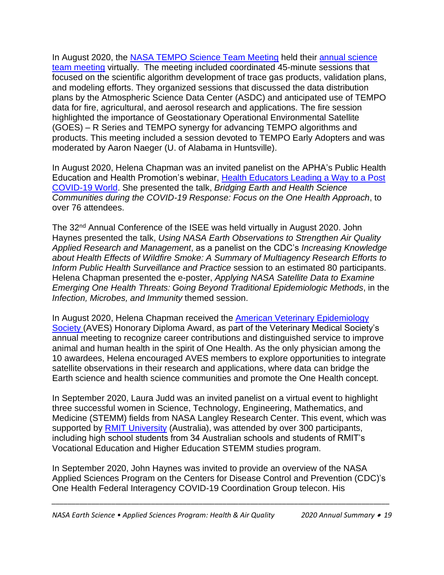In August 2020, the [NASA TEMPO Science Team Meeting](http://tempo.si.edu/presentations.html) held their [annual science](https://meeting-info.org/tempo-stm2020/)  [team meeting](https://meeting-info.org/tempo-stm2020/) virtually. The meeting included coordinated 45-minute sessions that focused on the scientific algorithm development of trace gas products, validation plans, and modeling efforts. They organized sessions that discussed the data distribution plans by the Atmospheric Science Data Center (ASDC) and anticipated use of TEMPO data for fire, agricultural, and aerosol research and applications. The fire session highlighted the importance of Geostationary Operational Environmental Satellite (GOES) – R Series and TEMPO synergy for advancing TEMPO algorithms and products. This meeting included a session devoted to TEMPO Early Adopters and was moderated by Aaron Naeger (U. of Alabama in Huntsville).

In August 2020, Helena Chapman was an invited panelist on the APHA's Public Health Education and Health Promotion's webinar, [Health Educators Leading a Way to a Post](https://www.apha.org/events-and-meetings/apha-calendar/webinar-events/2020/health-educators)  [COVID-19 World.](https://www.apha.org/events-and-meetings/apha-calendar/webinar-events/2020/health-educators) She presented the talk, *Bridging Earth and Health Science Communities during the COVID-19 Response: Focus on the One Health Approach*, to over 76 attendees.

The 32nd Annual Conference of the ISEE was held virtually in August 2020. John Haynes presented the talk, *Using NASA Earth Observations to Strengthen Air Quality Applied Research and Management*, as a panelist on the CDC's *Increasing Knowledge about Health Effects of Wildfire Smoke: A Summary of Multiagency Research Efforts to Inform Public Health Surveillance and Practice* session to an estimated 80 participants. Helena Chapman presented the e-poster, *Applying NASA Satellite Data to Examine Emerging One Health Threats: Going Beyond Traditional Epidemiologic Methods*, in the *Infection, Microbes, and Immunity* themed session.

In August 2020, Helena Chapman received the **American Veterinary Epidemiology** [Society \(](http://www.avesociety.org/)AVES) Honorary Diploma Award, as part of the Veterinary Medical Society's annual meeting to recognize career contributions and distinguished service to improve animal and human health in the spirit of One Health. As the only physician among the 10 awardees, Helena encouraged AVES members to explore opportunities to integrate satellite observations in their research and applications, where data can bridge the Earth science and health science communities and promote the One Health concept.

In September 2020, Laura Judd was an invited panelist on a virtual event to highlight three successful women in Science, Technology, Engineering, Mathematics, and Medicine (STEMM) fields from NASA Langley Research Center. This event, which was supported by [RMIT University](https://www.rmit.edu.au/) (Australia), was attended by over 300 participants, including high school students from 34 Australian schools and students of RMIT's Vocational Education and Higher Education STEMM studies program.

In September 2020, John Haynes was invited to provide an overview of the NASA Applied Sciences Program on the Centers for Disease Control and Prevention (CDC)'s One Health Federal Interagency COVID-19 Coordination Group telecon. His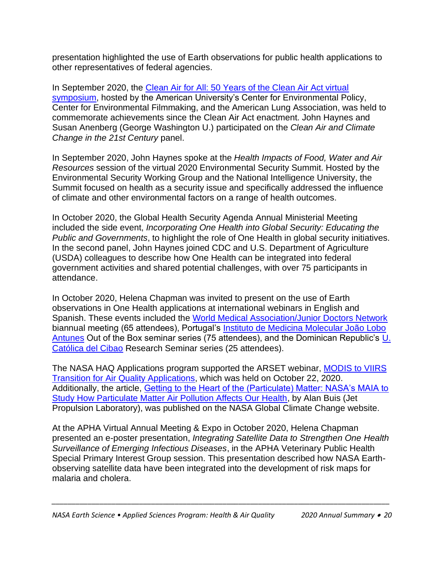presentation highlighted the use of Earth observations for public health applications to other representatives of federal agencies.

In September 2020, the [Clean Air for All: 50 Years of the Clean Air Act virtual](https://www.american.edu/spa/cep/clean-air/)  [symposium,](https://www.american.edu/spa/cep/clean-air/) hosted by the American University's Center for Environmental Policy, Center for Environmental Filmmaking, and the American Lung Association, was held to commemorate achievements since the Clean Air Act enactment. John Haynes and Susan Anenberg (George Washington U.) participated on the *Clean Air and Climate Change in the 21st Century* panel.

In September 2020, John Haynes spoke at the *Health Impacts of Food, Water and Air Resources* session of the virtual 2020 Environmental Security Summit. Hosted by the Environmental Security Working Group and the National Intelligence University, the Summit focused on health as a security issue and specifically addressed the influence of climate and other environmental factors on a range of health outcomes.

In October 2020, the Global Health Security Agenda Annual Ministerial Meeting included the side event, *Incorporating One Health into Global Security: Educating the Public and Governments*, to highlight the role of One Health in global security initiatives. In the second panel, John Haynes joined CDC and U.S. Department of Agriculture (USDA) colleagues to describe how One Health can be integrated into federal government activities and shared potential challenges, with over 75 participants in attendance.

In October 2020, Helena Chapman was invited to present on the use of Earth observations in One Health applications at international webinars in English and Spanish. These events included the [World Medical Association/Junior Doctors Network](https://www.wma.net/junior-doctors/about-us/) biannual meeting (65 attendees), Portugal's [Instituto de Medicina Molecular João Lobo](https://imm.medicina.ulisboa.pt/) [Antunes](https://imm.medicina.ulisboa.pt/) Out of the Box seminar series (75 attendees), and the Dominican Republic's [U.](https://www.ucateci.edu.do/) [Católica del Cibao](https://www.ucateci.edu.do/) Research Seminar series (25 attendees).

The NASA HAQ Applications program supported the ARSET webinar, [MODIS to VIIRS](https://appliedsciences.nasa.gov/join-mission/training/english/arset-modis-viirs-transition-air-quality-applications)  [Transition for Air Quality Applications,](https://appliedsciences.nasa.gov/join-mission/training/english/arset-modis-viirs-transition-air-quality-applications) which was held on October 22, 2020. Additionally, the article, [Getting to the Heart of the \(Particulate\) Matter: NASA's MAIA to](https://climate.nasa.gov/news/3027/getting-to-the-heart-of-the-particulate-matter/)  [Study How Particulate Matter Air Pollution Affects Our Health,](https://climate.nasa.gov/news/3027/getting-to-the-heart-of-the-particulate-matter/) by Alan Buis (Jet Propulsion Laboratory), was published on the NASA Global Climate Change website.

At the APHA Virtual Annual Meeting & Expo in October 2020, Helena Chapman presented an e-poster presentation, *Integrating Satellite Data to Strengthen One Health Surveillance of Emerging Infectious Diseases*, in the APHA Veterinary Public Health Special Primary Interest Group session. This presentation described how NASA Earthobserving satellite data have been integrated into the development of risk maps for malaria and cholera.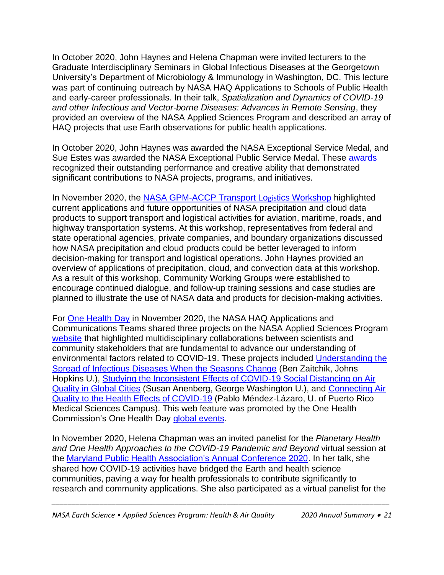In October 2020, John Haynes and Helena Chapman were invited lecturers to the Graduate Interdisciplinary Seminars in Global Infectious Diseases at the Georgetown University's Department of Microbiology & Immunology in Washington, DC. This lecture was part of continuing outreach by NASA HAQ Applications to Schools of Public Health and early-career professionals. In their talk, *Spatialization and Dynamics of COVID-19 and other Infectious and Vector-borne Diseases: Advances in Remote Sensing*, they provided an overview of the NASA Applied Sciences Program and described an array of HAQ projects that use Earth observations for public health applications.

In October 2020, John Haynes was awarded the NASA Exceptional Service Medal, and Sue Estes was awarded the NASA Exceptional Public Service Medal. These [awards](https://appliedsciences.nasa.gov/our-impact/news/2020-nasa-agency-honor-awards) recognized their outstanding performance and creative ability that demonstrated significant contributions to NASA projects, programs, and initiatives.

In November 2020, the [NASA GPM-ACCP Transport Lo](https://gpm.nasa.gov/science/meetings/2020-transportation-workshop)gistics Workshop highlighted current applications and future opportunities of NASA precipitation and cloud data products to support transport and logistical activities for aviation, maritime, roads, and highway transportation systems. At this workshop, representatives from federal and state operational agencies, private companies, and boundary organizations discussed how NASA precipitation and cloud products could be better leveraged to inform decision-making for transport and logistical operations. John Haynes provided an overview of applications of precipitation, cloud, and convection data at this workshop. As a result of this workshop, Community Working Groups were established to encourage continued dialogue, and follow-up training sessions and case studies are planned to illustrate the use of NASA data and products for decision-making activities.

For [One Health Day](https://www.onehealthcommission.org/en/events/one_health_day/) in November 2020, the NASA HAQ Applications and Communications Teams shared three projects on the NASA Applied Sciences Program [website](https://appliedsciences.nasa.gov/our-impact/news/nasas-earth-applied-sciences-program-participates-one-health-day-2020-focus-covid) that highlighted multidisciplinary collaborations between scientists and community stakeholders that are fundamental to advance our understanding of environmental factors related to COVID-19. These projects included [Understanding the](https://appliedsciences.nasa.gov/our-impact/people/ben-zaitchik-working-couch-and-tracking-coronavirus-covid-19)  [Spread of Infectious Diseases When the Seasons Change](https://appliedsciences.nasa.gov/our-impact/people/ben-zaitchik-working-couch-and-tracking-coronavirus-covid-19) (Ben Zaitchik, Johns Hopkins U.), Studying the Inconsistent [Effects of COVID-19 Social Distancing on Air](https://www.nasa.gov/feature/goddard/2020/nasa-funds-four-research-projects-on-covid-19-impacts)  [Quality in Global Cities](https://www.nasa.gov/feature/goddard/2020/nasa-funds-four-research-projects-on-covid-19-impacts) (Susan Anenberg, George Washington U.), and [Connecting Air](https://appliedsciences.nasa.gov/our-impact/story/puerto-rican-health-and-weather-experts-now-have-early-warning-system-when-saharan)  [Quality to the Health Effects of COVID-19](https://appliedsciences.nasa.gov/our-impact/story/puerto-rican-health-and-weather-experts-now-have-early-warning-system-when-saharan) (Pablo Méndez-Lázaro, U. of Puerto Rico Medical Sciences Campus). This web feature was promoted by the One Health Commission's One Health Day [global events.](https://onehealthplatform.com/content/nasas-earth-applied-sciences-program-participates-one-health-day-2020)

In November 2020, Helena Chapman was an invited panelist for the *Planetary Health and One Health Approaches to the COVID-19 Pandemic and Beyond* virtual session at the [Maryland Public Health Association's Annual Conference 2020.](https://mdpha.org/annual-conference-2020/) In her talk, she shared how COVID-19 activities have bridged the Earth and health science communities, paving a way for health professionals to contribute significantly to research and community applications. She also participated as a virtual panelist for the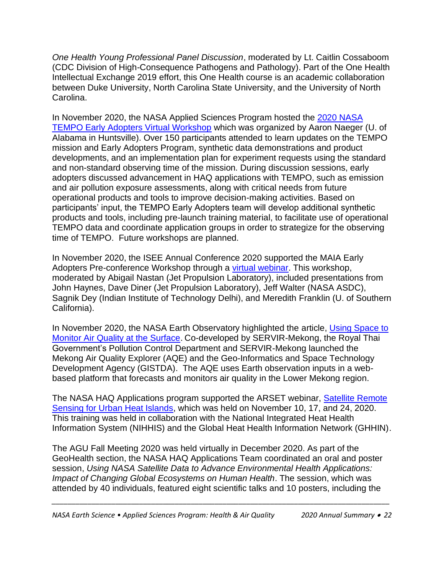*One Health Young Professional Panel Discussion*, moderated by Lt. Caitlin Cossaboom (CDC Division of High-Consequence Pathogens and Pathology). Part of the One Health Intellectual Exchange 2019 effort, this One Health course is an academic collaboration between Duke University, North Carolina State University, and the University of North Carolina.

In November 2020, the NASA Applied Sciences Program hosted the [2020 NASA](https://weather.msfc.nasa.gov/tempo/presentations.html)  [TEMPO Early Adopters Virtual Workshop](https://weather.msfc.nasa.gov/tempo/presentations.html) which was organized by Aaron Naeger (U. of Alabama in Huntsville). Over 150 participants attended to learn updates on the TEMPO mission and Early Adopters Program, synthetic data demonstrations and product developments, and an implementation plan for experiment requests using the standard and non-standard observing time of the mission. During discussion sessions, early adopters discussed advancement in HAQ applications with TEMPO, such as emission and air pollution exposure assessments, along with critical needs from future operational products and tools to improve decision-making activities. Based on participants' input, the TEMPO Early Adopters team will develop additional synthetic products and tools, including pre-launch training material, to facilitate use of operational TEMPO data and coordinate application groups in order to strategize for the observing time of TEMPO. Future workshops are planned.

In November 2020, the ISEE Annual Conference 2020 supported the MAIA Early Adopters Pre-conference Workshop through a [virtual webinar.](https://www.youtube.com/watch?v=cSJ9hLiU43o&feature=emb_logo) This workshop, moderated by Abigail Nastan (Jet Propulsion Laboratory), included presentations from John Haynes, Dave Diner (Jet Propulsion Laboratory), Jeff Walter (NASA ASDC), Sagnik Dey (Indian Institute of Technology Delhi), and Meredith Franklin (U. of Southern California).

In November 2020, the NASA Earth Observatory highlighted the article, Using Space to [Monitor Air Quality at the Surface.](https://earthobservatory.nasa.gov/blogs/fromthefield/2020/12/16/using-space-to-monitor-air-quality-at-the-surface/) Co-developed by SERVIR-Mekong, the Royal Thai Government's Pollution Control Department and SERVIR-Mekong launched the Mekong Air Quality Explorer (AQE) and the Geo-Informatics and Space Technology Development Agency (GISTDA). The AQE uses Earth observation inputs in a webbased platform that forecasts and monitors air quality in the Lower Mekong region.

The NASA HAQ Applications program supported the ARSET webinar, [Satellite Remote](https://appliedsciences.nasa.gov/join-mission/training/english/arset-satellite-remote-sensing-urban-heat-islands)  [Sensing for Urban Heat Islands,](https://appliedsciences.nasa.gov/join-mission/training/english/arset-satellite-remote-sensing-urban-heat-islands) which was held on November 10, 17, and 24, 2020. This training was held in collaboration with the National Integrated Heat Health Information System (NIHHIS) and the Global Heat Health Information Network (GHHIN).

The AGU Fall Meeting 2020 was held virtually in December 2020. As part of the GeoHealth section, the NASA HAQ Applications Team coordinated an oral and poster session, *Using NASA Satellite Data to Advance Environmental Health Applications: Impact of Changing Global Ecosystems on Human Health*. The session, which was attended by 40 individuals, featured eight scientific talks and 10 posters, including the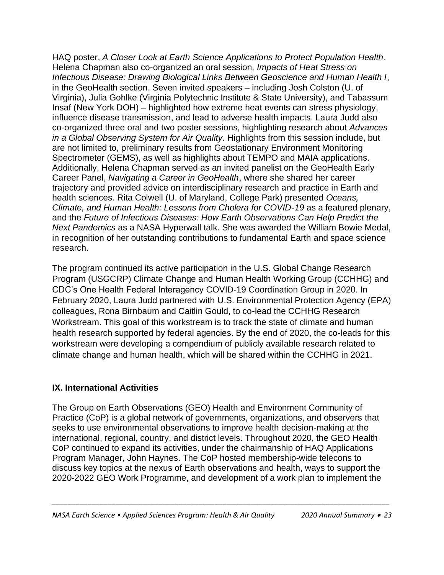HAQ poster, *A Closer Look at Earth Science Applications to Protect Population Health*. Helena Chapman also co-organized an oral session*, Impacts of Heat Stress on Infectious Disease: Drawing Biological Links Between Geoscience and Human Health I*, in the GeoHealth section. Seven invited speakers – including Josh Colston (U. of Virginia), Julia Gohlke (Virginia Polytechnic Institute & State University), and Tabassum Insaf (New York DOH) – highlighted how extreme heat events can stress physiology, influence disease transmission, and lead to adverse health impacts. Laura Judd also co-organized three oral and two poster sessions, highlighting research about *Advances in a Global Observing System for Air Quality.* Highlights from this session include, but are not limited to, preliminary results from Geostationary Environment Monitoring Spectrometer (GEMS), as well as highlights about TEMPO and MAIA applications. Additionally, Helena Chapman served as an invited panelist on the GeoHealth Early Career Panel, *Navigating a Career in GeoHealth*, where she shared her career trajectory and provided advice on interdisciplinary research and practice in Earth and health sciences. Rita Colwell (U. of Maryland, College Park) presented *Oceans, Climate, and Human Health: Lessons from Cholera for COVID-19* as a featured plenary, and the *Future of Infectious Diseases: How Earth Observations Can Help Predict the Next Pandemics* as a NASA Hyperwall talk. She was awarded the William Bowie Medal, in recognition of her outstanding contributions to fundamental Earth and space science research.

The program continued its active participation in the U.S. Global Change Research Program (USGCRP) Climate Change and Human Health Working Group (CCHHG) and CDC's One Health Federal Interagency COVID-19 Coordination Group in 2020. In February 2020, Laura Judd partnered with U.S. Environmental Protection Agency (EPA) colleagues, Rona Birnbaum and Caitlin Gould, to co-lead the CCHHG Research Workstream. This goal of this workstream is to track the state of climate and human health research supported by federal agencies. By the end of 2020, the co-leads for this workstream were developing a compendium of publicly available research related to climate change and human health, which will be shared within the CCHHG in 2021.

#### **IX. International Activities**

The Group on Earth Observations (GEO) Health and Environment Community of Practice (CoP) is a global network of governments, organizations, and observers that seeks to use environmental observations to improve health decision-making at the international, regional, country, and district levels. Throughout 2020, the GEO Health CoP continued to expand its activities, under the chairmanship of HAQ Applications Program Manager, John Haynes. The CoP hosted membership-wide telecons to discuss key topics at the nexus of Earth observations and health, ways to support the 2020-2022 GEO Work Programme, and development of a work plan to implement the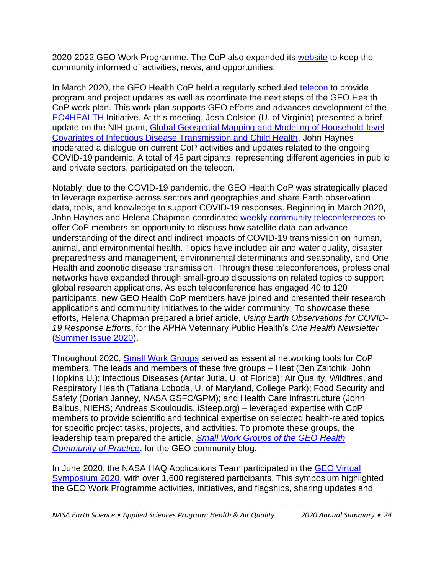2020-2022 GEO Work Programme. The CoP also expanded its [website](http://www.geohealthcop.org/) to keep the community informed of activities, news, and opportunities.

In March 2020, the GEO Health CoP held a regularly scheduled [telecon](http://www.geohealthcop.org/workshops/2019/2/13/geo-health-community-of-practice-quarterly-plenary-telecon-feb2019) to provide program and project updates as well as coordinate the next steps of the GEO Health CoP work plan. This work plan supports GEO efforts and advances development of the [EO4HEALTH](https://www.earthobservations.org/activity.php?id=143) Initiative. At this meeting, Josh Colston (U. of Virginia) presented a brief update on the NIH grant, [Global Geospatial Mapping and Modeling of Household-level](https://projectreporter.nih.gov/project_info_description.cfm?aid=9958800&icde=49187459&ddparam=&ddvalue=&ddsub=&cr=1&csb=default&cs=ASC&pball=)  [Covariates of Infectious Disease Transmission and Child Health.](https://projectreporter.nih.gov/project_info_description.cfm?aid=9958800&icde=49187459&ddparam=&ddvalue=&ddsub=&cr=1&csb=default&cs=ASC&pball=) John Haynes moderated a dialogue on current CoP activities and updates related to the ongoing COVID-19 pandemic. A total of 45 participants, representing different agencies in public and private sectors, participated on the telecon.

Notably, due to the COVID-19 pandemic, the GEO Health CoP was strategically placed to leverage expertise across sectors and geographies and share Earth observation data, tools, and knowledge to support COVID-19 responses. Beginning in March 2020, John Haynes and Helena Chapman coordinated [weekly community teleconferences](http://www.geohealthcop.org/covid19-telecons) to offer CoP members an opportunity to discuss how satellite data can advance understanding of the direct and indirect impacts of COVID-19 transmission on human, animal, and environmental health. Topics have included air and water quality, disaster preparedness and management, environmental determinants and seasonality, and One Health and zoonotic disease transmission. Through these teleconferences, professional networks have expanded through small-group discussions on related topics to support global research applications. As each teleconference has engaged 40 to 120 participants, new GEO Health CoP members have joined and presented their research applications and community initiatives to the wider community. To showcase these efforts, Helena Chapman prepared a brief article, *Using Earth Observations for COVID-19 Response Efforts*, for the APHA Veterinary Public Health's *One Health Newsletter*  [\(Summer Issue 2020\)](https://bit.ly/VPHJul2020).

Throughout 2020, [Small Work Groups](http://www.geohealthcop.org/small-work-groups) served as essential networking tools for CoP members. The leads and members of these five groups – Heat (Ben Zaitchik, John Hopkins U.); Infectious Diseases (Antar Jutla, U. of Florida); Air Quality, Wildfires, and Respiratory Health (Tatiana Loboda, U. of Maryland, College Park); Food Security and Safety (Dorian Janney, NASA GSFC/GPM); and Health Care Infrastructure (John Balbus, NIEHS; Andreas Skouloudis, iSteep.org) – leveraged expertise with CoP members to provide scientific and technical expertise on selected health-related topics for specific project tasks, projects, and activities. To promote these groups, the leadership team prepared the article, *[Small Work Groups of the GEO Health](https://earthobservations.org/geo_blog_obs.php?id=482)  [Community of Practice](https://earthobservations.org/geo_blog_obs.php?id=482)*, for the GEO community blog.

In June 2020, the NASA HAQ Applications Team participated in the [GEO Virtual](http://www.earthobservations.org/symposium2020.php)  [Symposium 2020,](http://www.earthobservations.org/symposium2020.php) with over 1,600 registered participants. This symposium highlighted the GEO Work Programme activities, initiatives, and flagships, sharing updates and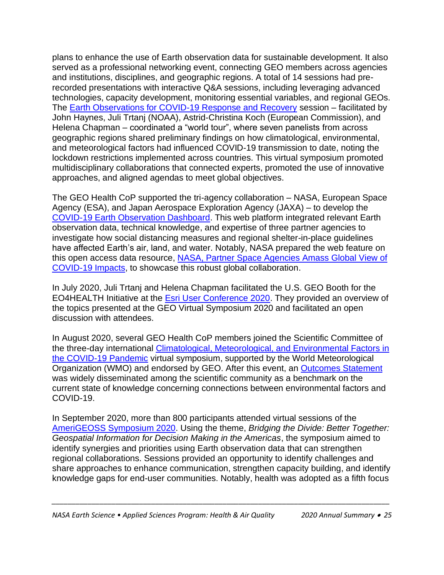plans to enhance the use of Earth observation data for sustainable development. It also served as a professional networking event, connecting GEO members across agencies and institutions, disciplines, and geographic regions. A total of 14 sessions had prerecorded presentations with interactive Q&A sessions, including leveraging advanced technologies, capacity development, monitoring essential variables, and regional GEOs. The **Earth Observations for COVID-19 Response and Recovery** session – facilitated by John Haynes, Juli Trtanj (NOAA), Astrid-Christina Koch (European Commission), and Helena Chapman – coordinated a "world tour", where seven panelists from across geographic regions shared preliminary findings on how climatological, environmental, and meteorological factors had influenced COVID-19 transmission to date, noting the lockdown restrictions implemented across countries. This virtual symposium promoted multidisciplinary collaborations that connected experts, promoted the use of innovative approaches, and aligned agendas to meet global objectives.

The GEO Health CoP supported the tri-agency collaboration – NASA, European Space Agency (ESA), and Japan Aerospace Exploration Agency (JAXA) – to develop the [COVID-19 Earth Observation Dashboard.](https://eodashboard.org/) This web platform integrated relevant Earth observation data, technical knowledge, and expertise of three partner agencies to investigate how social distancing measures and regional shelter-in-place guidelines have affected Earth's air, land, and water. Notably, NASA prepared the web feature on this open access data resource, [NASA, Partner Space Agencies Amass Global View of](https://www.nasa.gov/press-release/nasa-partner-space-agencies-amass-global-view-of-covid-19-impacts)  [COVID-19 Impacts,](https://www.nasa.gov/press-release/nasa-partner-space-agencies-amass-global-view-of-covid-19-impacts) to showcase this robust global collaboration.

In July 2020, Juli Trtanj and Helena Chapman facilitated the U.S. GEO Booth for the EO4HEALTH Initiative at the [Esri User Conference 2020.](https://www.esri.com/en-us/about/events/uc/save-date) They provided an overview of the topics presented at the GEO Virtual Symposium 2020 and facilitated an open discussion with attendees.

In August 2020, several GEO Health CoP members joined the Scientific Committee of the three-day international [Climatological, Meteorological, and Environmental Factors in](https://public.wmo.int/en/events/meetings/covid-19-symposium)  [the COVID-19 Pandemic](https://public.wmo.int/en/events/meetings/covid-19-symposium) virtual symposium, supported by the World Meteorological Organization (WMO) and endorsed by GEO. After this event, an Outcomes [Statement](https://public.wmo.int/en/events/meetings/covid-19-symposium/outcomes) was widely disseminated among the scientific community as a benchmark on the current state of knowledge concerning connections between environmental factors and COVID-19.

In September 2020, more than 800 participants attended virtual sessions of the [AmeriGEOSS Symposium 2020.](https://www.amerigeoss.org/) Using the theme, *Bridging the Divide: Better Together: Geospatial Information for Decision Making in the Americas*, the symposium aimed to identify synergies and priorities using Earth observation data that can strengthen regional collaborations. Sessions provided an opportunity to identify challenges and share approaches to enhance communication, strengthen capacity building, and identify knowledge gaps for end-user communities. Notably, health was adopted as a fifth focus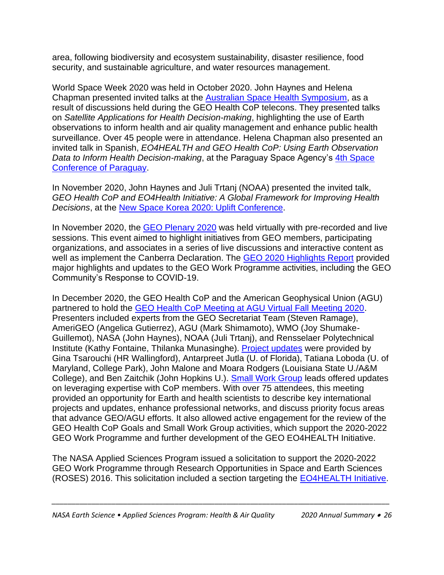area, following biodiversity and ecosystem sustainability, disaster resilience, food security, and sustainable agriculture, and water resources management.

World Space Week 2020 was held in October 2020. John Haynes and Helena Chapman presented invited talks at the [Australian Space Health Symposium,](https://adastravita.com/space-health-symposium/) as a result of discussions held during the GEO Health CoP telecons. They presented talks on *Satellite Applications for Health Decision-making*, highlighting the use of Earth observations to inform health and air quality management and enhance public health surveillance. Over 45 people were in attendance. Helena Chapman also presented an invited talk in Spanish, *EO4HEALTH and GEO Health CoP: Using Earth Observation*  Data to Inform Health Decision-making, at the Paraguay Space Agency's 4th Space [Conference of Paraguay.](https://www.youtube.com/watch?v=FFOzcrQV98o)

In November 2020, John Haynes and Juli Trtanj (NOAA) presented the invited talk, *GEO Health CoP and EO4Health Initiative: A Global Framework for Improving Health Decisions*, at the [New Space Korea 2020: Uplift Conference.](https://www.newspace-korea.kr/#about)

In November 2020, the [GEO Plenary 2020](https://earthobservations.org/geoweek2020.php) was held virtually with pre-recorded and live sessions. This event aimed to highlight initiatives from GEO members, participating organizations, and associates in a series of live discussions and interactive content as well as implement the Canberra Declaration. The [GEO 2020 Highlights Report](https://www.geohighlightsreport2020.org/) provided major highlights and updates to the GEO Work Programme activities, including the GEO Community's Response to COVID-19.

In December 2020, the GEO Health CoP and the American Geophysical Union (AGU) partnered to hold the [GEO Health CoP Meeting at AGU Virtual Fall Meeting 2020.](http://www.geohealthcop.org/workshops/2020/12/15/geo-health-cop-agu2020) Presenters included experts from the GEO Secretariat Team (Steven Ramage), AmeriGEO (Angelica Gutierrez), AGU (Mark Shimamoto), WMO (Joy Shumake-Guillemot), NASA (John Haynes), NOAA (Juli Trtanj), and Rensselaer Polytechnical Institute (Kathy Fontaine, Thilanka Munasinghe). [Project updates](http://www.geohealthcop.org/eo4health) were provided by Gina Tsarouchi (HR Wallingford), Antarpreet Jutla (U. of Florida), Tatiana Loboda (U. of Maryland, College Park), John Malone and Moara Rodgers (Louisiana State U./A&M College), and Ben Zaitchik (John Hopkins U.). [Small Work Group](http://www.geohealthcop.org/small-work-groups) leads offered updates on leveraging expertise with CoP members. With over 75 attendees, this meeting provided an opportunity for Earth and health scientists to describe key international projects and updates, enhance professional networks, and discuss priority focus areas that advance GEO/AGU efforts. It also allowed active engagement for the review of the GEO Health CoP Goals and Small Work Group activities, which support the 2020-2022 GEO Work Programme and further development of the GEO EO4HEALTH Initiative.

The NASA Applied Sciences Program issued a solicitation to support the 2020-2022 GEO Work Programme through Research Opportunities in Space and Earth Sciences (ROSES) 2016. This solicitation included a section targeting the [EO4HEALTH](http://www.geohealthcop.org/eo4health) Initiative.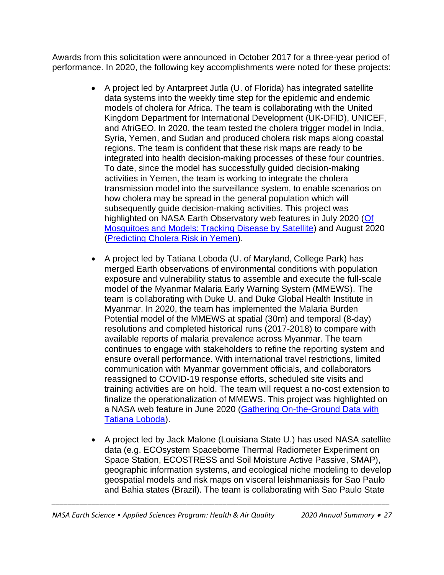Awards from this solicitation were announced in October 2017 for a three-year period of performance. In 2020, the following key accomplishments were noted for these projects:

- A project led by Antarpreet Jutla (U. of Florida) has integrated satellite data systems into the weekly time step for the epidemic and endemic models of cholera for Africa. The team is collaborating with the United Kingdom Department for International Development (UK-DFID), UNICEF, and AfriGEO. In 2020, the team tested the cholera trigger model in India, Syria, Yemen, and Sudan and produced cholera risk maps along coastal regions. The team is confident that these risk maps are ready to be integrated into health decision-making processes of these four countries. To date, since the model has successfully guided decision-making activities in Yemen, the team is working to integrate the cholera transmission model into the surveillance system, to enable scenarios on how cholera may be spread in the general population which will subsequently guide decision-making activities. This project was highlighted on NASA Earth Observatory web features in July 2020 (Of [Mosquitoes and Models: Tracking Disease by Satellite\)](https://earthobservatory.nasa.gov/features/disease-vector) and August 2020 [\(Predicting Cholera Risk in Yemen\)](https://earthobservatory.nasa.gov/images/147101/predicting-cholera-risk-in-yemen).
- A project led by Tatiana Loboda (U. of Maryland, College Park) has merged Earth observations of environmental conditions with population exposure and vulnerability status to assemble and execute the full-scale model of the Myanmar Malaria Early Warning System (MMEWS). The team is collaborating with Duke U. and Duke Global Health Institute in Myanmar. In 2020, the team has implemented the Malaria Burden Potential model of the MMEWS at spatial (30m) and temporal (8-day) resolutions and completed historical runs (2017-2018) to compare with available reports of malaria prevalence across Myanmar. The team continues to engage with stakeholders to refine the reporting system and ensure overall performance. With international travel restrictions, limited communication with Myanmar government officials, and collaborators reassigned to COVID-19 response efforts, scheduled site visits and training activities are on hold. The team will request a no-cost extension to finalize the operationalization of MMEWS. This project was highlighted on a NASA web feature in June 2020 [\(Gathering On-the-Ground Data with](https://appliedsciences.nasa.gov/our-impact/people/gathering-ground-data-tatiana-loboda)  [Tatiana Loboda\)](https://appliedsciences.nasa.gov/our-impact/people/gathering-ground-data-tatiana-loboda).
- A project led by Jack Malone (Louisiana State U.) has used NASA satellite data (e.g. ECOsystem Spaceborne Thermal Radiometer Experiment on Space Station, ECOSTRESS and Soil Moisture Active Passive, SMAP), geographic information systems, and ecological niche modeling to develop geospatial models and risk maps on visceral leishmaniasis for Sao Paulo and Bahia states (Brazil). The team is collaborating with Sao Paulo State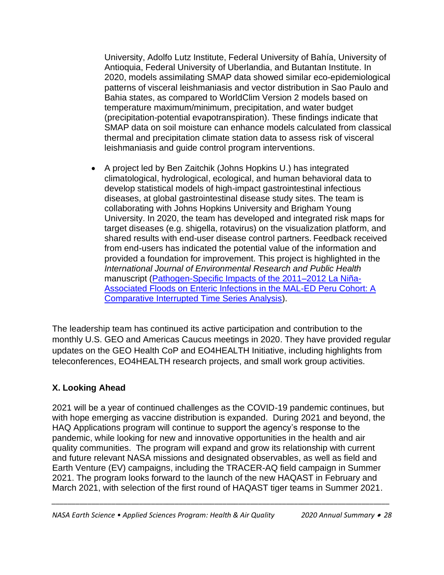University, Adolfo Lutz Institute, Federal University of Bahía, University of Antioquia, Federal University of Uberlandia, and Butantan Institute. In 2020, models assimilating SMAP data showed similar eco-epidemiological patterns of visceral leishmaniasis and vector distribution in Sao Paulo and Bahia states, as compared to WorldClim Version 2 models based on temperature maximum/minimum, precipitation, and water budget (precipitation-potential evapotranspiration). These findings indicate that SMAP data on soil moisture can enhance models calculated from classical thermal and precipitation climate station data to assess risk of visceral leishmaniasis and guide control program interventions.

• A project led by Ben Zaitchik (Johns Hopkins U.) has integrated climatological, hydrological, ecological, and human behavioral data to develop statistical models of high-impact gastrointestinal infectious diseases, at global gastrointestinal disease study sites. The team is collaborating with Johns Hopkins University and Brigham Young University. In 2020, the team has developed and integrated risk maps for target diseases (e.g. shigella, rotavirus) on the visualization platform, and shared results with end-user disease control partners. Feedback received from end-users has indicated the potential value of the information and provided a foundation for improvement. This project is highlighted in the *International Journal of Environmental Research and Public Health* manuscript [\(Pathogen-Specific Impacts of the 2011–2012 La Niña-](https://www.mdpi.com/1660-4601/17/2/487)[Associated Floods on Enteric Infections in the MAL-ED Peru Cohort: A](https://www.mdpi.com/1660-4601/17/2/487)  [Comparative Interrupted Time Series Analysis\)](https://www.mdpi.com/1660-4601/17/2/487).

The leadership team has continued its active participation and contribution to the monthly U.S. GEO and Americas Caucus meetings in 2020. They have provided regular updates on the GEO Health CoP and EO4HEALTH Initiative, including highlights from teleconferences, EO4HEALTH research projects, and small work group activities.

#### **X. Looking Ahead**

2021 will be a year of continued challenges as the COVID-19 pandemic continues, but with hope emerging as vaccine distribution is expanded. During 2021 and beyond, the HAQ Applications program will continue to support the agency's response to the pandemic, while looking for new and innovative opportunities in the health and air quality communities. The program will expand and grow its relationship with current and future relevant NASA missions and designated observables, as well as field and Earth Venture (EV) campaigns, including the TRACER-AQ field campaign in Summer 2021. The program looks forward to the launch of the new HAQAST in February and March 2021, with selection of the first round of HAQAST tiger teams in Summer 2021.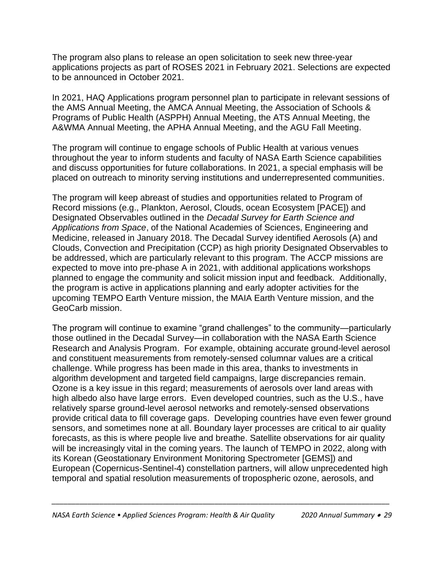The program also plans to release an open solicitation to seek new three-year applications projects as part of ROSES 2021 in February 2021. Selections are expected to be announced in October 2021.

In 2021, HAQ Applications program personnel plan to participate in relevant sessions of the AMS Annual Meeting, the AMCA Annual Meeting, the Association of Schools & Programs of Public Health (ASPPH) Annual Meeting, the ATS Annual Meeting, the A&WMA Annual Meeting, the APHA Annual Meeting, and the AGU Fall Meeting.

The program will continue to engage schools of Public Health at various venues throughout the year to inform students and faculty of NASA Earth Science capabilities and discuss opportunities for future collaborations. In 2021, a special emphasis will be placed on outreach to minority serving institutions and underrepresented communities.

The program will keep abreast of studies and opportunities related to Program of Record missions (e.g., Plankton, Aerosol, Clouds, ocean Ecosystem [PACE]) and Designated Observables outlined in the *Decadal Survey for Earth Science and Applications from Space*, of the National Academies of Sciences, Engineering and Medicine, released in January 2018. The Decadal Survey identified Aerosols (A) and Clouds, Convection and Precipitation (CCP) as high priority Designated Observables to be addressed, which are particularly relevant to this program. The ACCP missions are expected to move into pre-phase A in 2021, with additional applications workshops planned to engage the community and solicit mission input and feedback. Additionally, the program is active in applications planning and early adopter activities for the upcoming TEMPO Earth Venture mission, the MAIA Earth Venture mission, and the GeoCarb mission.

The program will continue to examine "grand challenges" to the community—particularly those outlined in the Decadal Survey—in collaboration with the NASA Earth Science Research and Analysis Program. For example, obtaining accurate ground-level aerosol and constituent measurements from remotely-sensed columnar values are a critical challenge. While progress has been made in this area, thanks to investments in algorithm development and targeted field campaigns, large discrepancies remain. Ozone is a key issue in this regard; measurements of aerosols over land areas with high albedo also have large errors. Even developed countries, such as the U.S., have relatively sparse ground-level aerosol networks and remotely-sensed observations provide critical data to fill coverage gaps. Developing countries have even fewer ground sensors, and sometimes none at all. Boundary layer processes are critical to air quality forecasts, as this is where people live and breathe. Satellite observations for air quality will be increasingly vital in the coming years. The launch of TEMPO in 2022, along with its Korean (Geostationary Environment Monitoring Spectrometer [GEMS]) and European (Copernicus-Sentinel-4) constellation partners, will allow unprecedented high temporal and spatial resolution measurements of tropospheric ozone, aerosols, and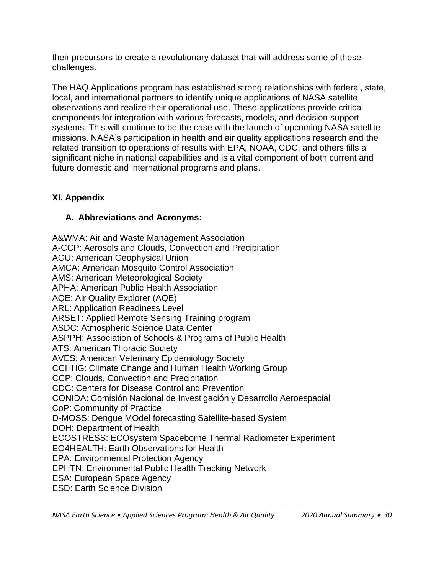their precursors to create a revolutionary dataset that will address some of these challenges.

The HAQ Applications program has established strong relationships with federal, state, local, and international partners to identify unique applications of NASA satellite observations and realize their operational use. These applications provide critical components for integration with various forecasts, models, and decision support systems. This will continue to be the case with the launch of upcoming NASA satellite missions. NASA's participation in health and air quality applications research and the related transition to operations of results with EPA, NOAA, CDC, and others fills a significant niche in national capabilities and is a vital component of both current and future domestic and international programs and plans.

#### **XI. Appendix**

#### **A. Abbreviations and Acronyms:**

A&WMA: Air and Waste Management Association A-CCP: Aerosols and Clouds, Convection and Precipitation AGU: American Geophysical Union AMCA: American Mosquito Control Association AMS: American Meteorological Society APHA: American Public Health Association AQE: Air Quality Explorer (AQE) ARL: Application Readiness Level ARSET: Applied Remote Sensing Training program ASDC: Atmospheric Science Data Center ASPPH: Association of Schools & Programs of Public Health ATS: American Thoracic Society AVES: American Veterinary Epidemiology Society CCHHG: Climate Change and Human Health Working Group CCP: Clouds, Convection and Precipitation CDC: Centers for Disease Control and Prevention CONIDA: Comisión Nacional de Investigación y Desarrollo Aeroespacial CoP: Community of Practice D-MOSS: Dengue MOdel forecasting Satellite-based System DOH: Department of Health ECOSTRESS: ECOsystem Spaceborne Thermal Radiometer Experiment EO4HEALTH: Earth Observations for Health EPA: Environmental Protection Agency EPHTN: Environmental Public Health Tracking Network ESA: European Space Agency ESD: Earth Science Division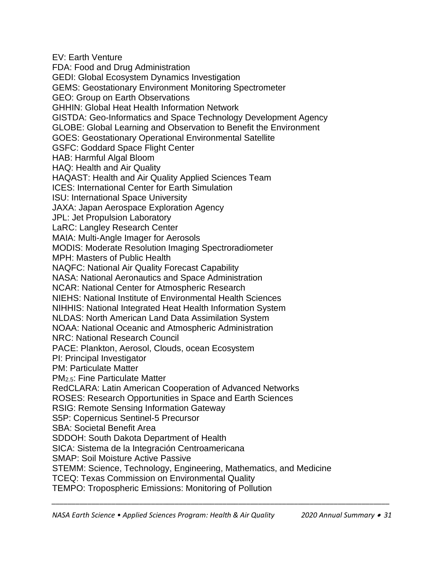EV: Earth Venture FDA: Food and Drug Administration GEDI: Global Ecosystem Dynamics Investigation GEMS: Geostationary Environment Monitoring Spectrometer GEO: Group on Earth Observations GHHIN: Global Heat Health Information Network GISTDA: Geo-Informatics and Space Technology Development Agency GLOBE: Global Learning and Observation to Benefit the Environment GOES: Geostationary Operational Environmental Satellite GSFC: Goddard Space Flight Center HAB: Harmful Algal Bloom HAQ: Health and Air Quality HAQAST: Health and Air Quality Applied Sciences Team ICES: International Center for Earth Simulation ISU: International Space University JAXA: Japan Aerospace Exploration Agency JPL: Jet Propulsion Laboratory LaRC: Langley Research Center MAIA: Multi-Angle Imager for Aerosols MODIS: Moderate Resolution Imaging Spectroradiometer MPH: Masters of Public Health NAQFC: National Air Quality Forecast Capability NASA: National Aeronautics and Space Administration NCAR: National Center for Atmospheric Research NIEHS: National Institute of Environmental Health Sciences NIHHIS: National Integrated Heat Health Information System NLDAS: North American Land Data Assimilation System NOAA: National Oceanic and Atmospheric Administration NRC: National Research Council PACE: Plankton, Aerosol, Clouds, ocean Ecosystem PI: Principal Investigator PM: Particulate Matter PM2.5: Fine Particulate Matter RedCLARA: Latin American Cooperation of Advanced Networks ROSES: Research Opportunities in Space and Earth Sciences RSIG: Remote Sensing Information Gateway S5P: Copernicus Sentinel-5 Precursor SBA: Societal Benefit Area SDDOH: South Dakota Department of Health SICA: Sistema de la Integración Centroamericana SMAP: Soil Moisture Active Passive STEMM: Science, Technology, Engineering, Mathematics, and Medicine TCEQ: Texas Commission on Environmental Quality TEMPO: Tropospheric Emissions: Monitoring of Pollution